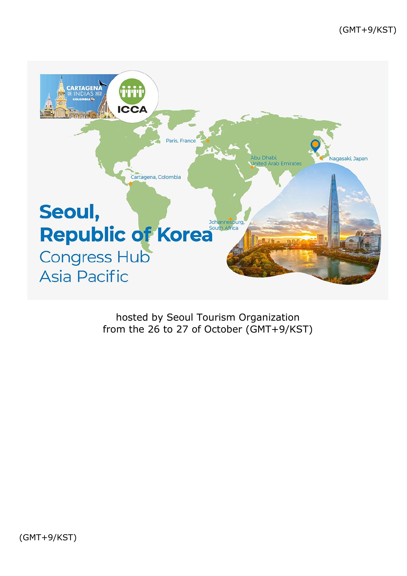

hosted by Seoul Tourism Organization from the 26 to 27 of October (GMT+9/KST)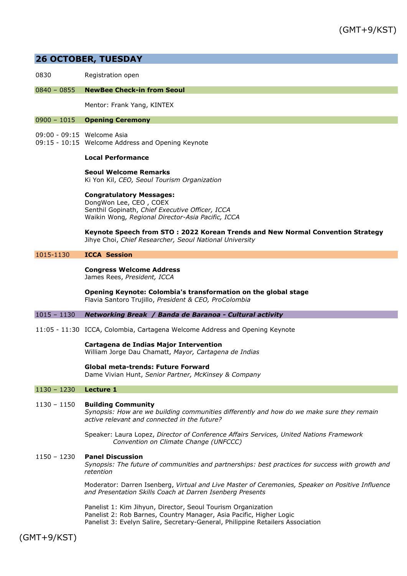# **26 OCTOBER, TUESDAY**

0830 Registration open

## 0840 – 0855 **NewBee Check-in from Seoul**

Mentor: Frank Yang, KINTEX

## 0900 – 1015 **Opening Ceremony**

- 09:00 09:15 Welcome Asia
- 09:15 10:15 Welcome Address and Opening Keynote

## **Local Performance**

**Seoul Welcome Remarks** Ki Yon Kil, *CEO, Seoul Tourism Organization*

**Congratulatory Messages:**  DongWon Lee, CEO , COEX Senthil Gopinath, *Chief Executive Officer, ICCA* Waikin Wong*, Regional Director-Asia Pacific, ICCA*

**Keynote Speech from STO : 2022 Korean Trends and New Normal Convention Strategy** Jihye Choi, *Chief Researcher, Seoul National University*

## 1015-1130 **ICCA Session**

**Congress Welcome Address** James Rees, *President, ICCA* 

**Opening Keynote: Colombia's transformation on the global stage** Flavia Santoro Trujillo, *President & CEO, ProColombia* 

#### 1015 – 1130 *Networking Break / Banda de Baranoa - Cultural activity*

11:05 - 11:30 ICCA, Colombia, Cartagena Welcome Address and Opening Keynote

**Cartagena de Indias Major Intervention** William Jorge Dau Chamatt, *Mayor, Cartagena de Indias*

#### **Global meta-trends: Future Forward**

Dame Vivian Hunt, *Senior Partner, McKinsey & Company*

#### 1130 – 1230 **Lecture 1**

## 1130 – 1150 **Building Community**

*Synopsis: How are we building communities differently and how do we make sure they remain active relevant and connected in the future?*

Speaker: Laura Lopez, *Director of Conference Affairs Services, United Nations Framework Convention on Climate Change (UNFCCC)* 

## 1150 – 1230 **Panel Discussion**

*Synopsis: The future of communities and partnerships: best practices for success with growth and retention*

Moderator: Darren Isenberg, *Virtual and Live Master of Ceremonies, Speaker on Positive Influence and Presentation Skills Coach at Darren Isenberg Presents* 

Panelist 1: Kim Jihyun, Director, Seoul Tourism Organization Panelist 2: Rob Barnes, Country Manager, Asia Pacific, Higher Logic Panelist 3: Evelyn Salire, Secretary-General, Philippine Retailers Association

(GMT+9/KST)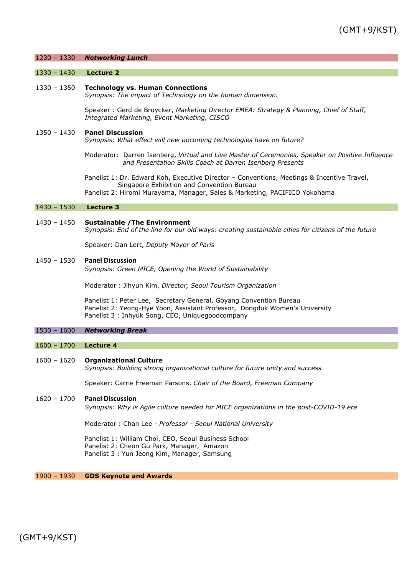| $1230 - 1330$ | <b>Networking Lunch</b>                                                                                                                                                                                                |
|---------------|------------------------------------------------------------------------------------------------------------------------------------------------------------------------------------------------------------------------|
| $1330 - 1430$ | <b>Lecture 2</b>                                                                                                                                                                                                       |
| 1330 - 1350   | <b>Technology vs. Human Connections</b><br>Synopsis: The impact of Technology on the human dimension.                                                                                                                  |
|               | Speaker: Gerd de Bruycker, Marketing Director EMEA: Strategy & Planning, Chief of Staff,<br>Integrated Marketing, Event Marketing, CISCO                                                                               |
| 1350 - 1430   | <b>Panel Discussion</b><br>Synopsis: What effect will new upcoming technologies have on future?                                                                                                                        |
|               | Moderator: Darren Isenberg, Virtual and Live Master of Ceremonies, Speaker on Positive Influence<br>and Presentation Skills Coach at Darren Isenberg Presents                                                          |
|               | Panelist 1: Dr. Edward Koh, Executive Director - Conventions, Meetings & Incentive Travel,<br>Singapore Exhibition and Convention Bureau<br>Panelist 2: Hiromi Murayama, Manager, Sales & Marketing, PACIFICO Yokohama |
| $1430 - 1530$ | Lecture 3                                                                                                                                                                                                              |
| 1430 - 1450   | <b>Sustainable / The Environment</b><br>Synopsis: End of the line for our old ways: creating sustainable cities for citizens of the future                                                                             |
|               | Speaker: Dan Lert, Deputy Mayor of Paris                                                                                                                                                                               |
| $1450 - 1530$ | <b>Panel Discussion</b><br>Synopsis: Green MICE, Opening the World of Sustainability                                                                                                                                   |
|               | Moderator: Jihyun Kim, Director, Seoul Tourism Organization                                                                                                                                                            |
|               | Panelist 1: Peter Lee, Secretary General, Goyang Convention Bureau<br>Panelist 2: Yeong-Hye Yoon, Assistant Professor, Dongduk Women's University<br>Panelist 3: Inhyuk Song, CEO, Uniquegoodcompany                   |
| $1530 - 1600$ | <b>Networking Break</b>                                                                                                                                                                                                |
| $1600 - 1700$ | <b>Lecture 4</b>                                                                                                                                                                                                       |
| $1600 - 1620$ | <b>Organizational Culture</b><br>Synopsis: Building strong organizational culture for future unity and success                                                                                                         |
|               | Speaker: Carrie Freeman Parsons, Chair of the Board, Freeman Company                                                                                                                                                   |

# 1620 – 1700 **Panel Discussion**

*Synopsis: Why is Agile culture needed for MICE organizations in the post-COVID-19 era*

Moderator : Chan Lee - *Professor - Seoul National University*

Panelist 1: William Choi, CEO, Seoul Business School Panelist 2: Cheon Gu Park, Manager, Amazon Panelist 3 : Yun Jeong Kim, Manager, Samsung

1900 – 1930 **GDS Keynote and Awards**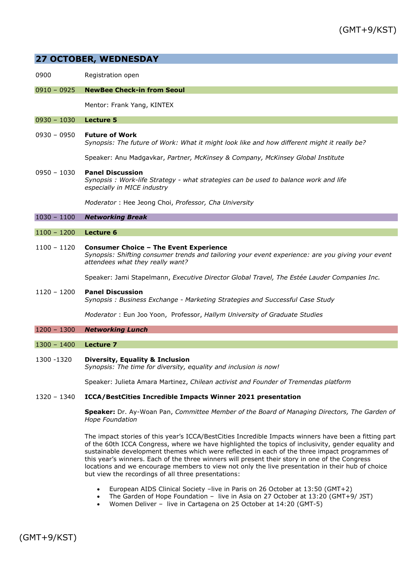# **27 OCTOBER, WEDNESDAY**

0900 Registration open

## 0910 – 0925 **NewBee Check-in from Seoul**

Mentor: Frank Yang, KINTEX

#### 0930 – 1030 **Lecture 5**

0930 – 0950 **Future of Work** *Synopsis: The future of Work: What it might look like and how different might it really be?* 

Speaker: Anu Madgavkar, *Partner, McKinsey & Company, McKinsey Global Institute*

# 0950 – 1030 **Panel Discussion** *Synopsis : Work-life Strategy - what strategies can be used to balance work and life especially in MICE industry*

*Moderator* : Hee Jeong Choi, *Professor, Cha University* 

1030 – 1100 *Networking Break*

## 1100 – 1200 **Lecture 6**

#### 1100 – 1120 **Consumer Choice – The Event Experience**

*Synopsis: Shifting consumer trends and tailoring your event experience: are you giving your event attendees what they really want?*

Speaker: Jami Stapelmann, *Executive Director Global Travel, The Estée Lauder Companies Inc.*

# 1120 – 1200 **Panel Discussion** *Synopsis : Business Exchange - Marketing Strategies and Successful Case Study*

*Moderator* : Eun Joo Yoon, Professor, *Hallym University of Graduate Studies*

## 1200 – 1300 *Networking Lunch*

1300 – 1400 **Lecture 7**

1300 -1320 **Diversity, Equality & Inclusion**

*Synopsis: The time for diversity, equality and inclusion is now!* 

Speaker: Julieta Amara Martinez, *Chilean activist and Founder of Tremendas platform* 

## 1320 – 1340 **ICCA/BestCities Incredible Impacts Winner 2021 presentation**

**Speaker:** Dr. Ay-Woan Pan, *Committee Member of the Board of Managing Directors, The Garden of Hope Foundation* 

The impact stories of this year's ICCA/BestCities Incredible Impacts winners have been a fitting part of the 60th ICCA Congress, where we have highlighted the topics of inclusivity, gender equality and sustainable development themes which were reflected in each of the three impact programmes of this year's winners. Each of the three winners will present their story in one of the Congress locations and we encourage members to view not only the live presentation in their hub of choice but view the recordings of all three presentations:

- European AIDS Clinical Society –live in Paris on 26 October at 13:50 (GMT+2)
- The Garden of Hope Foundation live in Asia on 27 October at 13:20 (GMT+9/ JST)
- Women Deliver live in Cartagena on 25 October at 14:20 (GMT-5)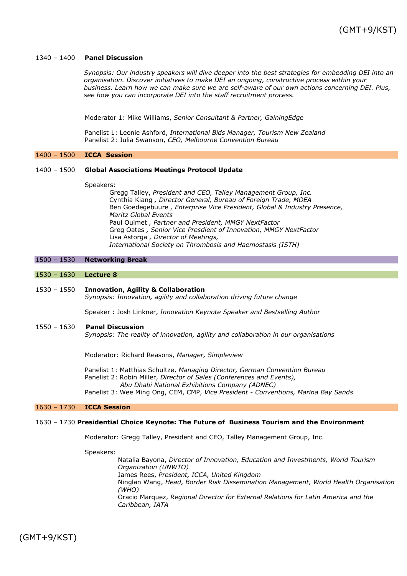## 1340 – 1400 **Panel Discussion**

*Synopsis: Our industry speakers will dive deeper into the best strategies for embedding DEI into an organisation. Discover initiatives to make DEI an ongoing, constructive process within your business. Learn how we can make sure we are self-aware of our own actions concerning DEI. Plus, see how you can incorporate DEI into the staff recruitment process.*

Moderator 1: Mike Williams, *Senior Consultant & Partner, GainingEdge* 

Panelist 1: Leonie Ashford, *International Bids Manager, Tourism New Zealand* Panelist 2: Julia Swanson, *CEO, Melbourne Convention Bureau*

#### 1400 – 1500 **ICCA Session**

## 1400 – 1500 **Global Associations Meetings Protocol Update**

#### Speakers:

Gregg Talley, *President and CEO, Talley Management Group, Inc.* Cynthia Kiang *, Director General, Bureau of Foreign Trade, MOEA* Ben Goedegebuure *, Enterprise Vice President, Global & Industry Presence, Maritz Global Events* Paul Ouimet *, Partner and President, MMGY NextFactor* Greg Oates *, Senior Vice Presdient of Innovation, MMGY NextFactor* Lisa Astorga *, Director of Meetings, International Society on Thrombosis and Haemostasis (ISTH)*

## 1500 – 1530 **Networking Break**

#### 1530 – 1630 **Lecture 8**

#### 1530 – 1550 **Innovation, Agility & Collaboration**

*Synopsis: Innovation, agility and collaboration driving future change* 

Speaker : Josh Linkner, *Innovation Keynote Speaker and Bestselling Author*

## 1550 – 1630 **Panel Discussion**

*Synopsis: The reality of innovation, agility and collaboration in our organisations*

Moderator: Richard Reasons, *Manager, Simpleview*

Panelist 1: Matthias Schultze, *Managing Director, German Convention Bureau*

- Panelist 2: Robin Miller, *Director of Sales (Conferences and Events),* 
	- *Abu Dhabi National Exhibitions Company (ADNEC)*

Panelist 3: Wee Ming Ong, CEM, CMP, *Vice President - Conventions, Marina Bay Sands* 

## 1630 – 1730 **ICCA Session**

## 1630 – 1730 **Presidential Choice Keynote: The Future of Business Tourism and the Environment**

Moderator: Gregg Talley, President and CEO, Talley Management Group, Inc.

Speakers:

Natalia Bayona, *Director of Innovation, Education and Investments, World Tourism Organization (UNWTO)* James Rees, *President, ICCA, United Kingdom* Ninglan Wang, *Head, Border Risk Dissemination Management, World Health Organisation (WHO)* Oracio Marquez, *Regional Director for External Relations for Latin America and the Caribbean, IATA*